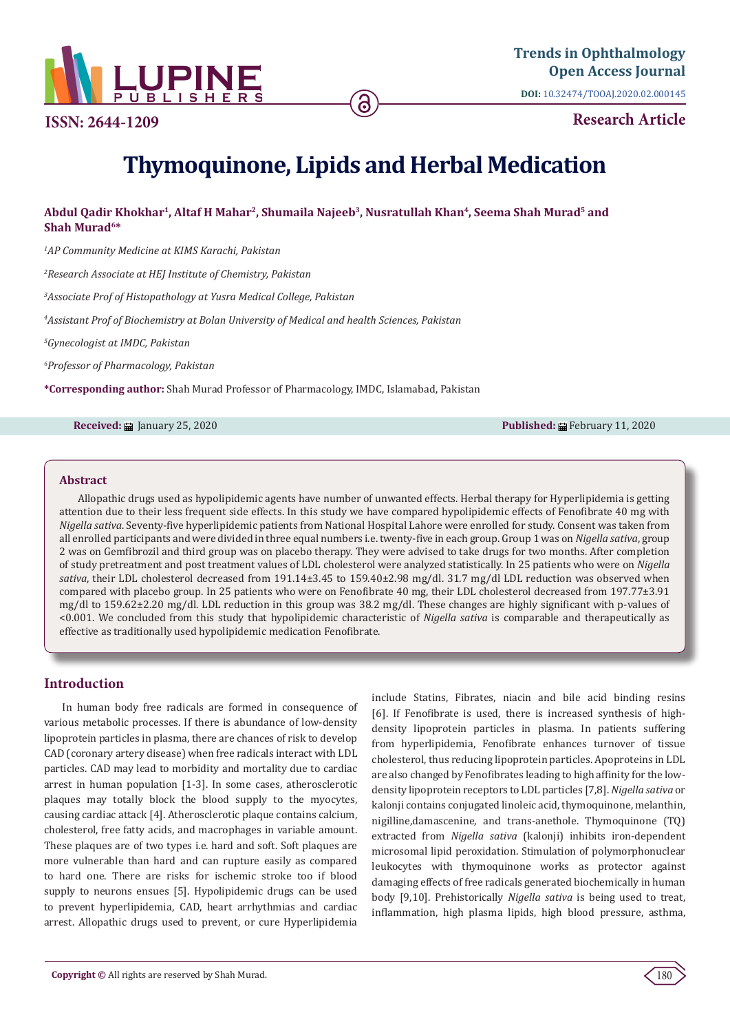

**ISSN: 2644-1209**

**Research Article**

# **Thymoquinone, Lipids and Herbal Medication**

ခြ

# **Abdul Qadir Khokhar1, Altaf H Mahar2, Shumaila Najeeb3, Nusratullah Khan4, Seema Shah Murad5 and Shah Murad6\***

*1 AP Community Medicine at KIMS Karachi, Pakistan*

*2 Research Associate at HEJ Institute of Chemistry, Pakistan*

*3 Associate Prof of Histopathology at Yusra Medical College, Pakistan*

*4 Assistant Prof of Biochemistry at Bolan University of Medical and health Sciences, Pakistan*

*5 Gynecologist at IMDC, Pakistan*

*6 Professor of Pharmacology, Pakistan*

**\*Corresponding author:** Shah Murad Professor of Pharmacology, IMDC, Islamabad, Pakistan

**Received:** ■ January 25, 2020 **Published:** ■ February 11, 2020

#### **Abstract**

Allopathic drugs used as hypolipidemic agents have number of unwanted effects. Herbal therapy for Hyperlipidemia is getting attention due to their less frequent side effects. In this study we have compared hypolipidemic effects of Fenofibrate 40 mg with *Nigella sativa*. Seventy-five hyperlipidemic patients from National Hospital Lahore were enrolled for study. Consent was taken from all enrolled participants and were divided in three equal numbers i.e. twenty-five in each group. Group 1 was on *Nigella sativa*, group 2 was on Gemfibrozil and third group was on placebo therapy. They were advised to take drugs for two months. After completion of study pretreatment and post treatment values of LDL cholesterol were analyzed statistically. In 25 patients who were on *Nigella sativa*, their LDL cholesterol decreased from 191.14±3.45 to 159.40±2.98 mg/dl. 31.7 mg/dl LDL reduction was observed when compared with placebo group. In 25 patients who were on Fenofibrate 40 mg, their LDL cholesterol decreased from 197.77±3.91 mg/dl to 159.62±2.20 mg/dl. LDL reduction in this group was 38.2 mg/dl. These changes are highly significant with p-values of <0.001. We concluded from this study that hypolipidemic characteristic of *Nigella sativa* is comparable and therapeutically as effective as traditionally used hypolipidemic medication Fenofibrate.

# **Introduction**

In human body free radicals are formed in consequence of various metabolic processes. If there is abundance of low-density lipoprotein particles in plasma, there are chances of risk to develop CAD (coronary artery disease) when free radicals interact with LDL particles. CAD may lead to morbidity and mortality due to cardiac arrest in human population [1-3]. In some cases, atherosclerotic plaques may totally block the blood supply to the myocytes, causing cardiac attack [4]. Atherosclerotic plaque contains calcium, cholesterol, free fatty acids, and macrophages in variable amount. These plaques are of two types i.e. hard and soft. Soft plaques are more vulnerable than hard and can rupture easily as compared to hard one. There are risks for ischemic stroke too if blood supply to neurons ensues [5]. Hypolipidemic drugs can be used to prevent hyperlipidemia, CAD, heart arrhythmias and cardiac arrest. Allopathic drugs used to prevent, or cure Hyperlipidemia

include Statins, Fibrates, niacin and bile acid binding resins [6]. If Fenofibrate is used, there is increased synthesis of highdensity lipoprotein particles in plasma. In patients suffering from hyperlipidemia, Fenofibrate enhances turnover of tissue cholesterol, thus reducing lipoprotein particles. Apoproteins in LDL are also changed by Fenofibrates leading to high affinity for the lowdensity lipoprotein receptors to LDL particles [7,8]. *Nigella sativa* or kalonji contains conjugated linoleic acid, thymoquinone, melanthin, nigilline,damascenine, and trans-anethole. Thymoquinone (TQ) extracted from *Nigella sativa* (kalonji) inhibits iron-dependent microsomal lipid peroxidation. Stimulation of polymorphonuclear leukocytes with thymoquinone works as protector against damaging effects of free radicals generated biochemically in human body [9,10]. Prehistorically *Nigella sativa* is being used to treat, inflammation, high plasma lipids, high blood pressure, asthma,

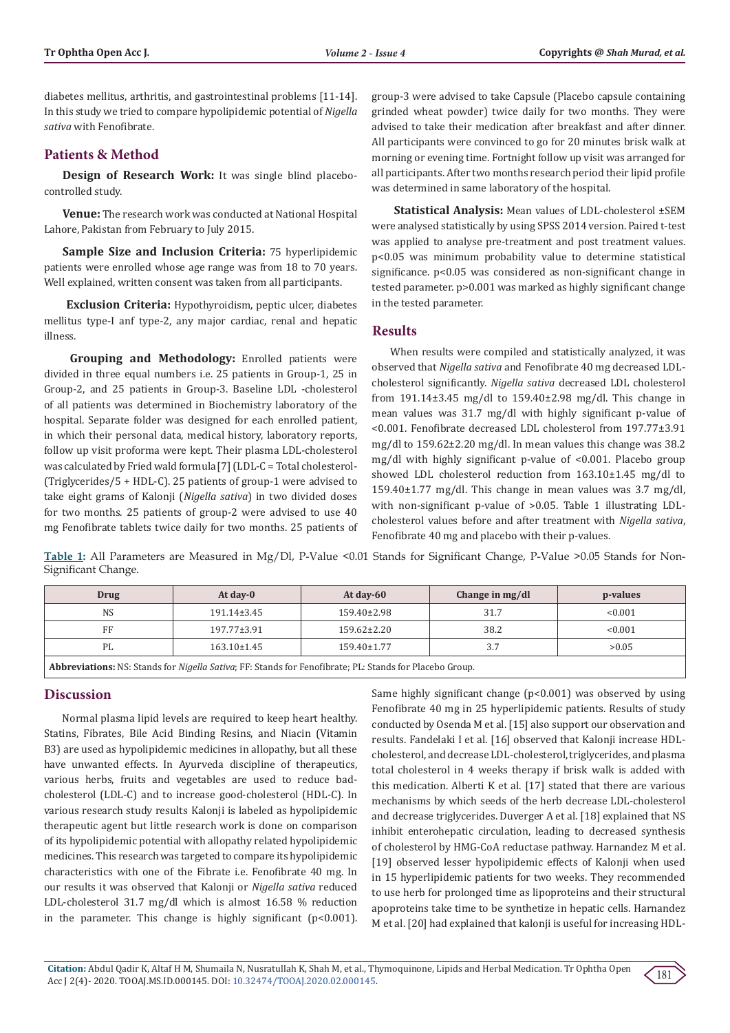diabetes mellitus, arthritis, and gastrointestinal problems [11-14]. In this study we tried to compare hypolipidemic potential of *Nigella sativa* with Fenofibrate.

## **Patients & Method**

**Design of Research Work:** It was single blind placebocontrolled study.

**Venue:** The research work was conducted at National Hospital Lahore, Pakistan from February to July 2015.

**Sample Size and Inclusion Criteria:** 75 hyperlipidemic patients were enrolled whose age range was from 18 to 70 years. Well explained, written consent was taken from all participants.

 **Exclusion Criteria:** Hypothyroidism, peptic ulcer, diabetes mellitus type-I anf type-2, any major cardiac, renal and hepatic illness.

 **Grouping and Methodology:** Enrolled patients were divided in three equal numbers i.e. 25 patients in Group-1, 25 in Group-2, and 25 patients in Group-3. Baseline LDL -cholesterol of all patients was determined in Biochemistry laboratory of the hospital. Separate folder was designed for each enrolled patient, in which their personal data, medical history, laboratory reports, follow up visit proforma were kept. Their plasma LDL-cholesterol was calculated by Fried wald formula[7] (LDL-C = Total cholesterol- (Triglycerides/5 + HDL-C). 25 patients of group-1 were advised to take eight grams of Kalonji (*Nigella sativa*) in two divided doses for two months. 25 patients of group-2 were advised to use 40 mg Fenofibrate tablets twice daily for two months. 25 patients of group-3 were advised to take Capsule (Placebo capsule containing grinded wheat powder) twice daily for two months. They were advised to take their medication after breakfast and after dinner. All participants were convinced to go for 20 minutes brisk walk at morning or evening time. Fortnight follow up visit was arranged for all participants. After two months research period their lipid profile was determined in same laboratory of the hospital.

 **Statistical Analysis:** Mean values of LDL-cholesterol ±SEM were analysed statistically by using SPSS 2014 version. Paired t-test was applied to analyse pre-treatment and post treatment values. p<0.05 was minimum probability value to determine statistical significance. p<0.05 was considered as non-significant change in tested parameter. p>0.001 was marked as highly significant change in the tested parameter.

### **Results**

When results were compiled and statistically analyzed, it was observed that *Nigella sativa* and Fenofibrate 40 mg decreased LDLcholesterol significantly. *Nigella sativa* decreased LDL cholesterol from 191.14±3.45 mg/dl to 159.40±2.98 mg/dl. This change in mean values was 31.7 mg/dl with highly significant p-value of <0.001. Fenofibrate decreased LDL cholesterol from 197.77±3.91 mg/dl to 159.62±2.20 mg/dl. In mean values this change was 38.2 mg/dl with highly significant p-value of <0.001. Placebo group showed LDL cholesterol reduction from 163.10±1.45 mg/dl to 159.40±1.77 mg/dl. This change in mean values was 3.7 mg/dl, with non-significant p-value of >0.05. Table 1 illustrating LDLcholesterol values before and after treatment with *Nigella sativa*, Fenofibrate 40 mg and placebo with their p-values.

Table 1: All Parameters are Measured in Mg/Dl, P-Value <0.01 Stands for Significant Change, P-Value >0.05 Stands for Non-Significant Change.

| Drug                                 | At day-0          | At day- $60$      | Change in mg/dl | p-values |
|--------------------------------------|-------------------|-------------------|-----------------|----------|
| <b>NS</b>                            | 191.14±3.45       | 159.40±2.98       | 31.7            | < 0.001  |
| FF                                   | 197.77±3.91       | $159.62 \pm 2.20$ | 38.2            | < 0.001  |
| PL                                   | $163.10 \pm 1.45$ | $159.40 \pm 1.77$ | 3.7             | >0.05    |
| MOO, IC WILLOW THOUGH CHILING ICH IO |                   |                   |                 |          |

**Abbreviations:** NS: Stands for *Nigella Sativa*; FF: Stands for Fenofibrate; PL: Stands for Placebo Group.

## **Discussion**

Normal plasma lipid levels are required to keep heart healthy. Statins, Fibrates, Bile Acid Binding Resins, and Niacin (Vitamin B3) are used as hypolipidemic medicines in allopathy, but all these have unwanted effects. In Ayurveda discipline of therapeutics, various herbs, fruits and vegetables are used to reduce badcholesterol (LDL-C) and to increase good-cholesterol (HDL-C). In various research study results Kalonji is labeled as hypolipidemic therapeutic agent but little research work is done on comparison of its hypolipidemic potential with allopathy related hypolipidemic medicines. This research was targeted to compare its hypolipidemic characteristics with one of the Fibrate i.e. Fenofibrate 40 mg. In our results it was observed that Kalonji or *Nigella sativa* reduced LDL-cholesterol 31.7 mg/dl which is almost 16.58 % reduction in the parameter. This change is highly significant ( $p$ <0.001).

Same highly significant change (p<0.001) was observed by using Fenofibrate 40 mg in 25 hyperlipidemic patients. Results of study conducted by Osenda M et al. [15] also support our observation and results. Fandelaki I et al. [16] observed that Kalonji increase HDLcholesterol, and decrease LDL-cholesterol, triglycerides, and plasma total cholesterol in 4 weeks therapy if brisk walk is added with this medication. Alberti K et al. [17] stated that there are various mechanisms by which seeds of the herb decrease LDL-cholesterol and decrease triglycerides. Duverger A et al. [18] explained that NS inhibit enterohepatic circulation, leading to decreased synthesis of cholesterol by HMG-CoA reductase pathway. Harnandez M et al. [19] observed lesser hypolipidemic effects of Kalonji when used in 15 hyperlipidemic patients for two weeks. They recommended to use herb for prolonged time as lipoproteins and their structural apoproteins take time to be synthetize in hepatic cells. Harnandez M et al. [20] had explained that kalonji is useful for increasing HDL-

181